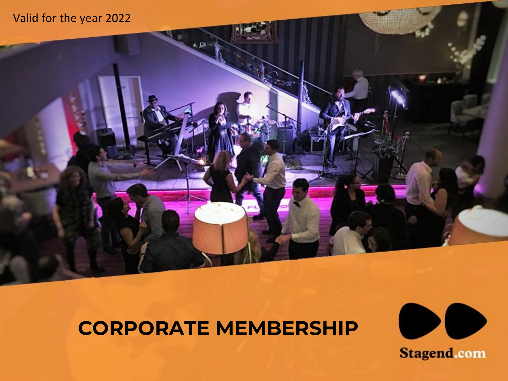

# **CORPORATE MEMBERSHIP**

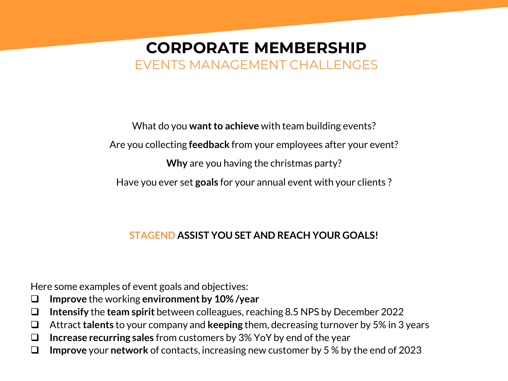### **CORPORATE MEMBERSHIP** EVENTS MANAGEMENT CHALLENGES

What do you **want to achieve** with team building events? Are you collecting **feedback** from your employees after your event? **Why** are you having the christmas party? Have you ever set **goals** for your annual event with your clients ?

#### **STAGEND ASSIST YOU SET AND REACH YOUR GOALS!**

Here some examples of event goals and objectives:

- ❑ **Improve** the working **environment by 10% /year**
- ❑ **Intensify** the **team spirit** between colleagues, reaching 8.5 NPS by December 2022
- ❑ Attract **talents** to your company and **keeping** them, decreasing turnover by 5% in 3 years
- ❑ **Increase recurring sales** from customers by 3% YoY by end of the year
- ❑ **Improve** your **network** of contacts, increasing new customer by 5 % by the end of 2023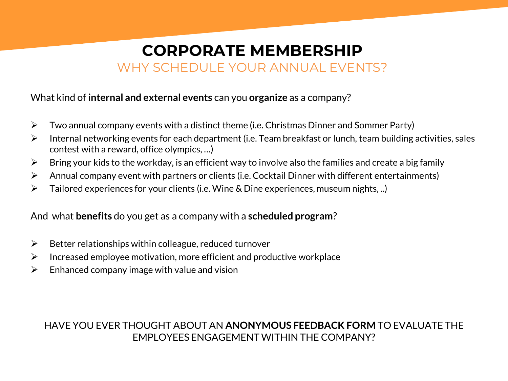### **CORPORATE MEMBERSHIP** WHY SCHEDULE YOUR ANNUAL EVENTS?

#### What kind of **internal and external events** can you **organize** as a company?

- $\triangleright$  Two annual company events with a distinct theme (i.e. Christmas Dinner and Sommer Party)
- $\triangleright$  Internal networking events for each department (i.e. Team breakfast or lunch, team building activities, sales contest with a reward, office olympics, …)
- $\triangleright$  Bring your kids to the workday, is an efficient way to involve also the families and create a big family
- $\triangleright$  Annual company event with partners or clients (i.e. Cocktail Dinner with different entertainments)
- $\triangleright$  Tailored experiences for your clients (i.e. Wine & Dine experiences, museum nights, ..)

And what **benefits** do you get as a company with a **scheduled program**?

- $\triangleright$  Better relationships within colleague, reduced turnover
- $\triangleright$  Increased employee motivation, more efficient and productive workplace
- $\triangleright$  Enhanced company image with value and vision

#### HAVE YOU EVER THOUGHT ABOUT AN **ANONYMOUS FEEDBACK FORM** TO EVALUATE THE EMPLOYEES ENGAGEMENT WITHIN THE COMPANY?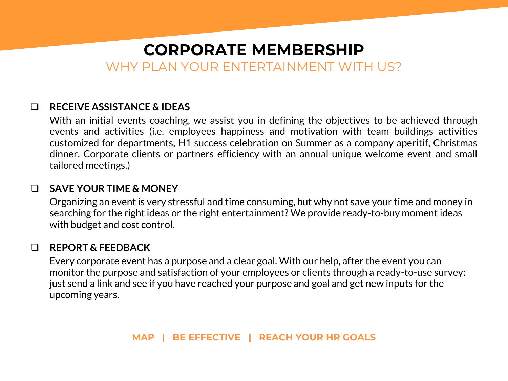### **CORPORATE MEMBERSHIP** WHY PLAN YOUR ENTERTAINMENT WITH US?

#### ❑ **RECEIVE ASSISTANCE & IDEAS**

With an initial events coaching, we assist you in defining the objectives to be achieved through events and activities (i.e. employees happiness and motivation with team buildings activities customized for departments, H1 success celebration on Summer as a company aperitif, Christmas dinner. Corporate clients or partners efficiency with an annual unique welcome event and small tailored meetings.)

#### ❑ **SAVE YOUR TIME & MONEY**

Organizing an event is very stressful and time consuming, but why not save your time and money in searching for the right ideas or the right entertainment? We provide ready-to-buy moment ideas with budget and cost control.

#### ❑ **REPORT & FEEDBACK**

Every corporate event has a purpose and a clear goal. With our help, after the event you can monitor the purpose and satisfaction of your employees or clients through a ready-to-use survey: just send a link and see if you have reached your purpose and goal and get new inputs for the upcoming years.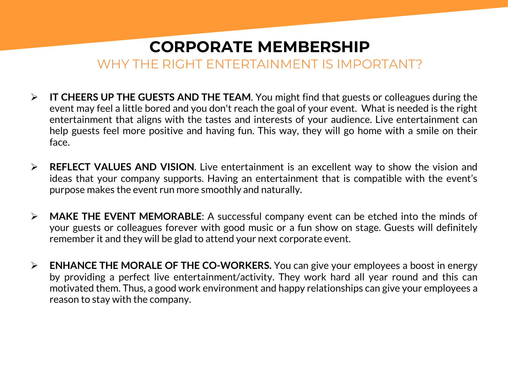### **CORPORATE MEMBERSHIP** WHY THE RIGHT ENTERTAINMENT IS IMPORTANT?

- ➢ **IT CHEERS UP THE GUESTS AND THE TEAM**. You might find that guests or colleagues during the event may feel a little bored and you don't reach the goal of your event. What is needed is the right entertainment that aligns with the tastes and interests of your audience. Live entertainment can help guests feel more positive and having fun. This way, they will go home with a smile on their face.
- ➢ **REFLECT VALUES AND VISION**. Live entertainment is an excellent way to show the vision and ideas that your company supports. Having an entertainment that is compatible with the event's purpose makes the event run more smoothly and naturally.
- ➢ **MAKE THE EVENT MEMORABLE**: A successful company event can be etched into the minds of your guests or colleagues forever with good music or a fun show on stage. Guests will definitely remember it and they will be glad to attend your next corporate event.
- ➢ **ENHANCE THE MORALE OF THE CO-WORKERS.** You can give your employees a boost in energy by providing a perfect live entertainment/activity. They work hard all year round and this can motivated them. Thus, a good work environment and happy relationships can give your employees a reason to stay with the company.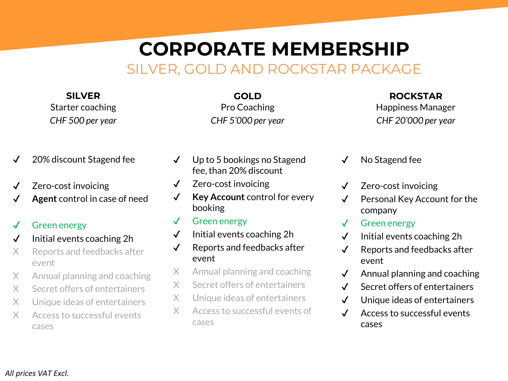## **CORPORATE MEMBERSHIP** SILVER, GOLD AND ROCKSTAR PACKAGE

**SILVER** Starter coaching *CHF 500 per year*

**GOLD** Pro Coaching *CHF 5'000 per year*

#### **ROCKSTAR** Happiness Manager *CHF 20'000 per year*

- ✔ 20% discount Stagend fee
- ✔ Zero-cost invoicing
- Agent control in case of need

#### ✔ Green energy

- ✔ Initial events coaching 2h
- X Reports and feedbacks after event
- X Annual planning and coaching
- X Secret offers of entertainers
- X Unique ideas of entertainers
- X Access to successful events cases
- ✔ Up to 5 bookings no Stagend fee, than 20% discount
- ✔ Zero-cost invoicing
- ✔ **Key Account** control for every booking
- ✔ Green energy
- $\checkmark$  Initial events coaching 2h
- ✔ Reports and feedbacks after event
- X Annual planning and coaching
- X Secret offers of entertainers
- X Unique ideas of entertainers
- X Access to successful events of cases
- No Stagend fee
- ✔ Zero-cost invoicing
- ✔ Personal Key Account for the company
- ✔ Green energy
- ✔ Initial events coaching 2h
- ✔ Reports and feedbacks after event
- $\checkmark$  Annual planning and coaching
- ✔ Secret offers of entertainers
- ✔ Unique ideas of entertainers
- ✔ Access to successful events cases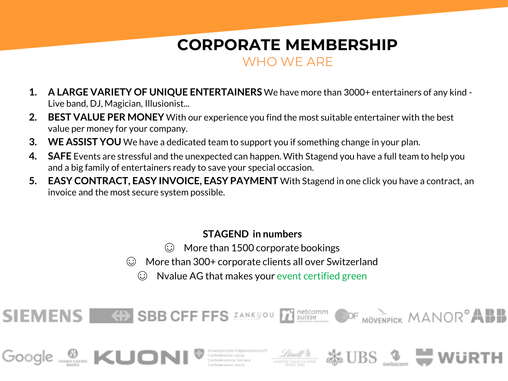### **CORPORATE MEMBERSHIP** WHO WE ARE

- **1. A LARGE VARIETY OF UNIQUE ENTERTAINERS** We have more than 3000+ entertainers of any kind Live band, DJ, Magician, Illusionist...
- **2. BEST VALUE PER MONEY** With our experience you find the most suitable entertainer with the best value per money for your company.
- **3. WE ASSIST YOU** We have a dedicated team to support you if something change in your plan.
- **4. SAFE** Events are stressful and the unexpected can happen. With Stagend you have a full team to help you and a big family of entertainers ready to save your special occasion.
- **5. EASY CONTRACT, EASY INVOICE, EASY PAYMENT** With Stagend in one click you have a contract, an invoice and the most secure system possible.

#### **STAGEND in numbers**

- $\odot$  More than 1500 corporate bookings
- ☺ More than 300+ corporate clients all over Switzerland
	- ☺ Nvalue AG that makes your event certified green

Schweizerische Eidgenossenschaft<br>Confederation suisse<br>Confederazione Svizzera

**SBB CFF FFS** ZANKYOU THE SUISSE

**SIEMENS** 

**O KUOI** 

MÖVENPICK MANOR<sup>®</sup>ABB

 $BS \cong W$ ür